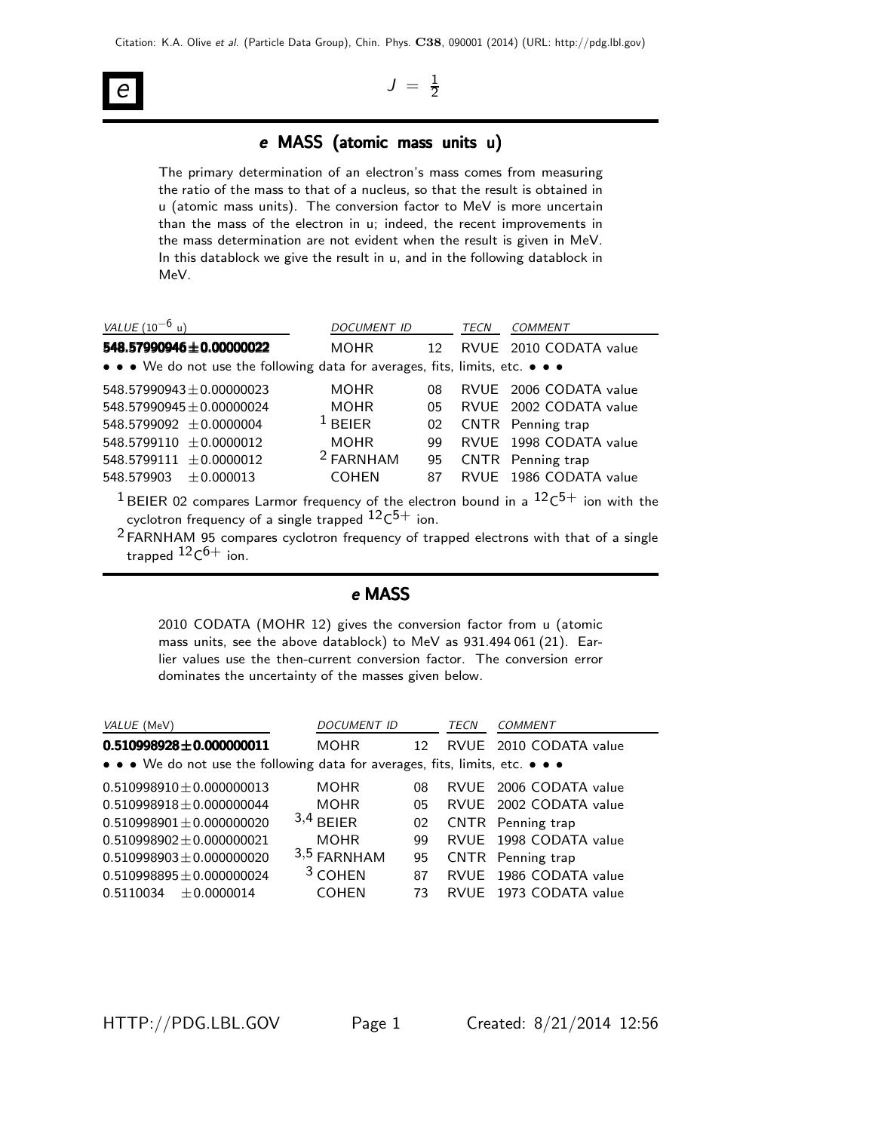# e

 $J = \frac{1}{2}$ 2

## e MASS (atomic mass units u)

The primary determination of an electron's mass comes from measuring the ratio of the mass to that of a nucleus, so that the result is obtained in u (atomic mass units). The conversion factor to MeV is more uncertain than the mass of the electron in u; indeed, the recent improvements in the mass determination are not evident when the result is given in MeV. In this datablock we give the result in u, and in the following datablock in MeV.

| <i>VALUE</i> (10 <sup>-6</sup> u)                                                                                                                             | DOCUMENT ID          |                 | TECN | COMMENT                  |  |
|---------------------------------------------------------------------------------------------------------------------------------------------------------------|----------------------|-----------------|------|--------------------------|--|
| 548.57990946±0.00000022                                                                                                                                       | MOHR                 | 12 <sup>°</sup> |      | RVUE 2010 CODATA value   |  |
| • • • We do not use the following data for averages, fits, limits, etc. • • •                                                                                 |                      |                 |      |                          |  |
| $548.57990943 + 0.00000023$                                                                                                                                   | <b>MOHR</b>          | 08              |      | RVUE 2006 CODATA value   |  |
| $548.57990945 + 0.00000024$                                                                                                                                   | <b>MOHR</b>          | 05              |      | RVUE 2002 CODATA value   |  |
| $548.5799092 + 0.0000004$                                                                                                                                     | $1$ BEIER            | 02              |      | <b>CNTR</b> Penning trap |  |
| $548.5799110 + 0.0000012$                                                                                                                                     | <b>MOHR</b>          | 99              |      | RVUE 1998 CODATA value   |  |
| 548.5799111 $\pm$ 0.0000012                                                                                                                                   | <sup>2</sup> FARNHAM | 95              |      | <b>CNTR</b> Penning trap |  |
| 548.579903<br>$+0.000013$                                                                                                                                     | <b>COHEN</b>         | 87              | RVUF | 1986 CODATA value        |  |
| <sup>1</sup> BEIER 02 compares Larmor frequency of the electron bound in a $12c^{5+}$ ion with the<br>cyclotron frequency of a single trapped $12c^{5+}$ ion. |                      |                 |      |                          |  |
|                                                                                                                                                               |                      |                 |      |                          |  |

 $2$  FARNHAM 95 compares cyclotron frequency of trapped electrons with that of a single trapped  $^{12} \mathsf{C}^{6+}$  ion.

#### e MASS

2010 CODATA (MOHR 12) gives the conversion factor from u (atomic mass units, see the above datablock) to MeV as 931.494 061 (21). Earlier values use the then-current conversion factor. The conversion error dominates the uncertainty of the masses given below.

| VALUE (MeV)                                                                   | <b>DOCUMENT ID</b> |    | TECN | <b>COMMENT</b>         |
|-------------------------------------------------------------------------------|--------------------|----|------|------------------------|
| $0.510998928 \pm 0.000000011$                                                 | MOHR               | 12 |      | RVUE 2010 CODATA value |
| • • • We do not use the following data for averages, fits, limits, etc. • • • |                    |    |      |                        |
| $0.510998910 \pm 0.000000013$                                                 | <b>MOHR</b>        | 08 |      | RVUE 2006 CODATA value |
| $0.510998918 \pm 0.000000044$                                                 | <b>MOHR</b>        | 05 |      | RVUE 2002 CODATA value |
| $0.510998901 \pm 0.000000020$                                                 | $3,4$ BEIER        | 02 |      | CNTR Penning trap      |
| $0.510998902 \pm 0.000000021$                                                 | <b>MOHR</b>        | 99 |      | RVUE 1998 CODATA value |
| $0.510998903 \pm 0.000000020$                                                 | $3,5$ FARNHAM      | 95 |      | CNTR Penning trap      |
| $0.510998895 \pm 0.000000024$                                                 | <sup>3</sup> COHEN | 87 |      | RVUE 1986 CODATA value |
| $+0.0000014$<br>0.5110034                                                     | <b>COHEN</b>       | 73 |      | RVUE 1973 CODATA value |
|                                                                               |                    |    |      |                        |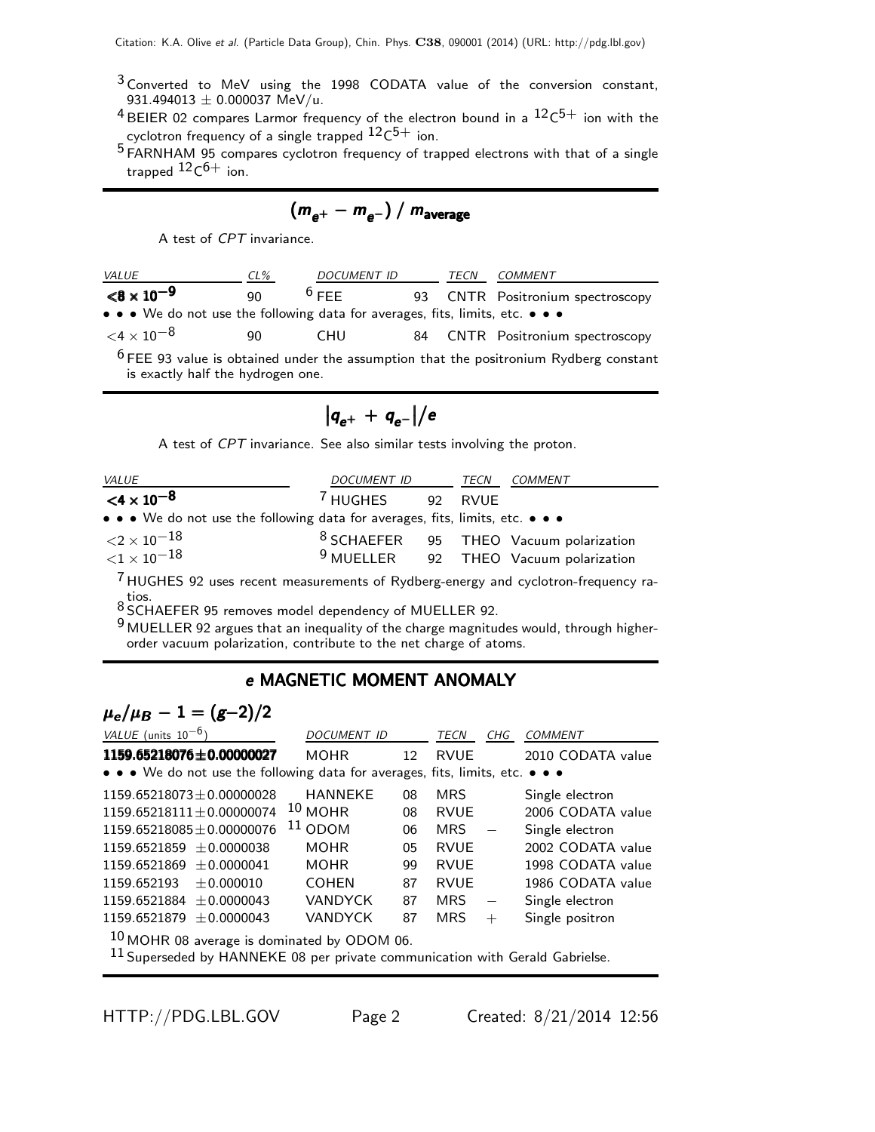- <sup>3</sup> Converted to MeV using the 1998 CODATA value of the conversion constant, 931.494013  $\pm$  0.000037 MeV/u.
- $^4$ BEIER 02 compares Larmor frequency of the electron bound in a  $\mathrm{^{12}C^{5+}}$  ion with the cyclotron frequency of a single trapped  $^{12} \rm C^{5+}$  ion.
- 5 FARNHAM 95 compares cyclotron frequency of trapped electrons with that of a single trapped  $^{12} \mathsf{C}^{6+}$  ion.

 $(m_{\rho^+} - m_{\rho^-}) / m_{\text{average}}$ 

A test of CPT invariance.

| <i>VALUE</i>                                                                  | $CL\%$ | DOCUMENT ID |    | TECN | COMMENT                                                                                          |
|-------------------------------------------------------------------------------|--------|-------------|----|------|--------------------------------------------------------------------------------------------------|
| $< 8 \times 10^{-9}$                                                          | 90     | $6$ FFF     |    |      | 93 CNTR Positronium spectroscopy                                                                 |
| • • • We do not use the following data for averages, fits, limits, etc. • • • |        |             |    |      |                                                                                                  |
| $<$ 4 $\times$ 10 $^{-8}$                                                     | 90     | CHU.        | 84 |      | <b>CNTR</b> Positronium spectroscopy                                                             |
| is exactly half the hydrogen one.                                             |        |             |    |      | <sup>6</sup> FEE 93 value is obtained under the assumption that the positronium Rydberg constant |

$$
\big|q_{e^+}+q_{e^-}\big|\big/e
$$

A test of CPT invariance. See also similar tests involving the proton.

| <i>VALUE</i>                                                                     | DOCUMENT ID TECN    |         | COMMENT                                           |
|----------------------------------------------------------------------------------|---------------------|---------|---------------------------------------------------|
| $<$ 4 $\times$ 10 <sup>-8</sup>                                                  | <sup>7</sup> HUGHES | 92 RVUE |                                                   |
| • • • We do not use the following data for averages, fits, limits, etc. • • •    |                     |         |                                                   |
| ${<}2\times10^{-18}$                                                             |                     |         | <sup>8</sup> SCHAEFER 95 THEO Vacuum polarization |
| ${<}1\times10^{-18}$                                                             |                     |         | <sup>9</sup> MUELLER 92 THEO Vacuum polarization  |
| HIIGHES 92 uses recent measurements of Rydberg-energy and cyclotron-frequency ra |                     |         |                                                   |

ent measurements of Rydberg-energy and cyclotron-frequency ratios. 8 SCHAEFER 95 removes model dependency of MUELLER 92.

9 MUELLER 92 argues that an inequality of the charge magnitudes would, through higherorder vacuum polarization, contribute to the net charge of atoms.

## e MAGNETIC MOMENT ANOMALY

# $\mu_e/\mu_B - 1 = (g-2)/2$

| VALUE (units $10^{-6}$ )                                                      | <b>DOCUMENT ID</b>                            |                   | <b>TECN</b> | CHG | <b>COMMENT</b>    |  |
|-------------------------------------------------------------------------------|-----------------------------------------------|-------------------|-------------|-----|-------------------|--|
| 1159.65218076±0.00000027                                                      | <b>MOHR</b>                                   | $12 \overline{ }$ | <b>RVUE</b> |     | 2010 CODATA value |  |
| • • • We do not use the following data for averages, fits, limits, etc. • • • |                                               |                   |             |     |                   |  |
| $1159.65218073 \pm 0.00000028$                                                | <b>HANNEKE</b>                                | 08                | <b>MRS</b>  |     | Single electron   |  |
| $1159.65218111 \pm 0.00000074$                                                | $10$ MOHR                                     | 08                | <b>RVUE</b> |     | 2006 CODATA value |  |
| $1159.65218085 + 0.00000076$                                                  | $11$ ODOM                                     | 06                | <b>MRS</b>  |     | Single electron   |  |
| $1159.6521859 + 0.0000038$                                                    | <b>MOHR</b>                                   | 05                | <b>RVUE</b> |     | 2002 CODATA value |  |
| $1159.6521869 \pm 0.0000041$                                                  | <b>MOHR</b>                                   | 99                | <b>RVUE</b> |     | 1998 CODATA value |  |
| 1159.652193<br>$+0.000010$                                                    | <b>COHEN</b>                                  | 87                | <b>RVUE</b> |     | 1986 CODATA value |  |
| 1159.6521884 $\pm$ 0.0000043                                                  | <b>VANDYCK</b>                                | 87                | <b>MRS</b>  |     | Single electron   |  |
| $1159.6521879 \pm 0.0000043$                                                  | <b>VANDYCK</b>                                | 87                | <b>MRS</b>  | $+$ | Single positron   |  |
|                                                                               | $10$ MOHR 08 average is dominated by ODOM 06. |                   |             |     |                   |  |

 $^{11}$  Superseded by HANNEKE 08 per private communication with Gerald Gabrielse.

HTTP://PDG.LBL.GOV Page 2 Created: 8/21/2014 12:56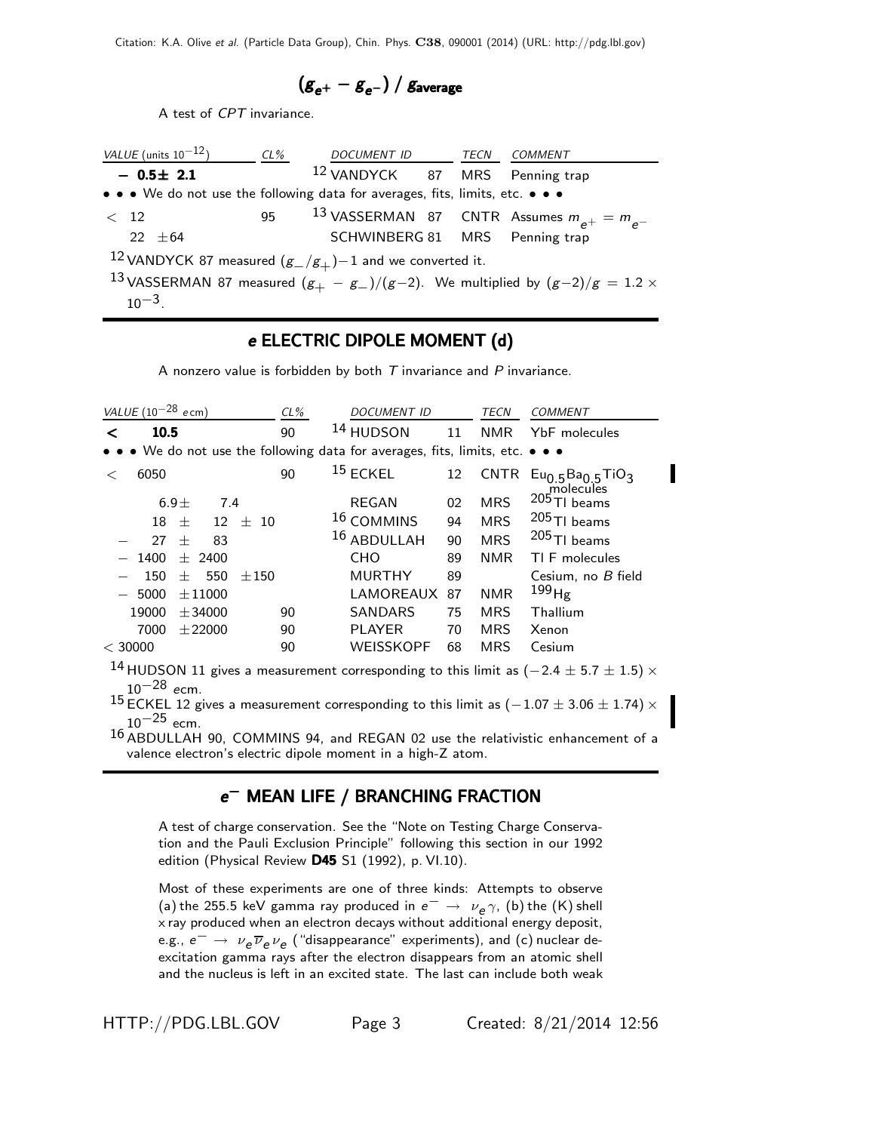$$
\left(g_{e^+}-g_{e^-}\right)/\,g_{\rm average}
$$

A test of CPT invariance.

| VALUE (units $10^{-12}$ )                                                     | CL% | DOCUMENT ID TECN COMMENT                  |  |                                                                                            |
|-------------------------------------------------------------------------------|-----|-------------------------------------------|--|--------------------------------------------------------------------------------------------|
| $-0.5\pm 2.1$                                                                 |     | <sup>12</sup> VANDYCK 87 MRS Penning trap |  |                                                                                            |
| • • • We do not use the following data for averages, fits, limits, etc. • • • |     |                                           |  |                                                                                            |
| < 12                                                                          | 95  |                                           |  | <sup>13</sup> VASSERMAN 87 CNTR Assumes $m_{e^+} = m_{e^-}$                                |
| $22 + 64$                                                                     |     | SCHWINBERG 81 MRS Penning trap            |  |                                                                                            |
| <sup>12</sup> VANDYCK 87 measured $(g_{-}/g_{+})$ -1 and we converted it.     |     |                                           |  |                                                                                            |
| $10^{-3}$                                                                     |     |                                           |  | 13 VASSERMAN 87 measured $(g_{+} - g_{-})/(g-2)$ . We multiplied by $(g-2)/g = 1.2 \times$ |

### e ELECTRIC DIPOLE MOMENT (d)

A nonzero value is forbidden by both  $T$  invariance and  $P$  invariance.

| VALUE $(10^{-28}$ ecm)                                                                    | $CL\%$ | <b>DOCUMENT ID</b>    |    | <b>TECN</b> | <b>COMMENT</b>                |
|-------------------------------------------------------------------------------------------|--------|-----------------------|----|-------------|-------------------------------|
| 10.5<br>≺                                                                                 | 90     | <sup>14</sup> HUDSON  | 11 | <b>NMR</b>  | YbF molecules                 |
| • • • We do not use the following data for averages, fits, limits, etc. • • •             |        |                       |    |             |                               |
| 6050<br>$\,<\,$                                                                           | 90     | $15$ ECKEL            | 12 | <b>CNTR</b> | $Eu0.5Ba0.5TiO3$<br>molecules |
| 6.9 <sub>±</sub><br>7.4                                                                   |        | <b>REGAN</b>          | 02 | <b>MRS</b>  | $205$ TI beams                |
| 18<br>12<br>士<br>士                                                                        | - 10   | <sup>16</sup> COMMINS | 94 | <b>MRS</b>  | $205$ TI beams                |
| 27<br>83<br>$^{+}$                                                                        |        | 16 ABDULLAH           | 90 | <b>MRS</b>  | $205$ TI beams                |
| 1400<br>$\pm$ 2400                                                                        |        | <b>CHO</b>            | 89 | <b>NMR</b>  | TI F molecules                |
| 150<br>550<br>$+$                                                                         | ±150   | <b>MURTHY</b>         | 89 |             | Cesium, no B field            |
| 5000<br>$\pm 11000$                                                                       |        | LAMOREAUX             | 87 | <b>NMR</b>  | $^{199}$ Hg                   |
| 19000<br>± 34000                                                                          | 90     | <b>SANDARS</b>        | 75 | <b>MRS</b>  | Thallium                      |
| 7000<br>$±$ 22000                                                                         | 90     | <b>PLAYER</b>         | 70 | <b>MRS</b>  | Xenon                         |
| $<$ 30000                                                                                 | 90     | <b>WEISSKOPF</b>      | 68 | <b>MRS</b>  | Cesium                        |
| 14 HIIDSON 11 gives a measurement corresponding to this limit as $(-24 + 57 + 15) \times$ |        |                       |    |             |                               |

<code>HUDSON</code> 11 gives a measurement corresponding to this limit as ( $-2.4\pm5.7\pm1.5)\times$  $10^{-28}$  ecm.

15 ECKEL 12 gives a measurement corresponding to this limit as  $(-1.07 \pm 3.06 \pm 1.74) \times$  $10^{-25}$  ecm.

16 ABDULLAH 90, COMMINS 94, and REGAN 02 use the relativistic enhancement of a valence electron's electric dipole moment in a high-Z atom.

## e<sup>−</sup> MEAN LIFE / BRANCHING FRACTION

A test of charge conservation. See the "Note on Testing Charge Conservation and the Pauli Exclusion Principle" following this section in our 1992 edition (Physical Review D45 S1 (1992), p. VI.10).

Most of these experiments are one of three kinds: Attempts to observe (a) the 255.5 keV gamma ray produced in  $e^-\rightarrow \nu_e \gamma$ , (b) the (K) shell x ray produced when an electron decays without additional energy deposit, e.g.,  $e^ \rightarrow \nu_e \overline{\nu}_e \nu_e$  ("disappearance" experiments), and (c) nuclear deexcitation gamma rays after the electron disappears from an atomic shell and the nucleus is left in an excited state. The last can include both weak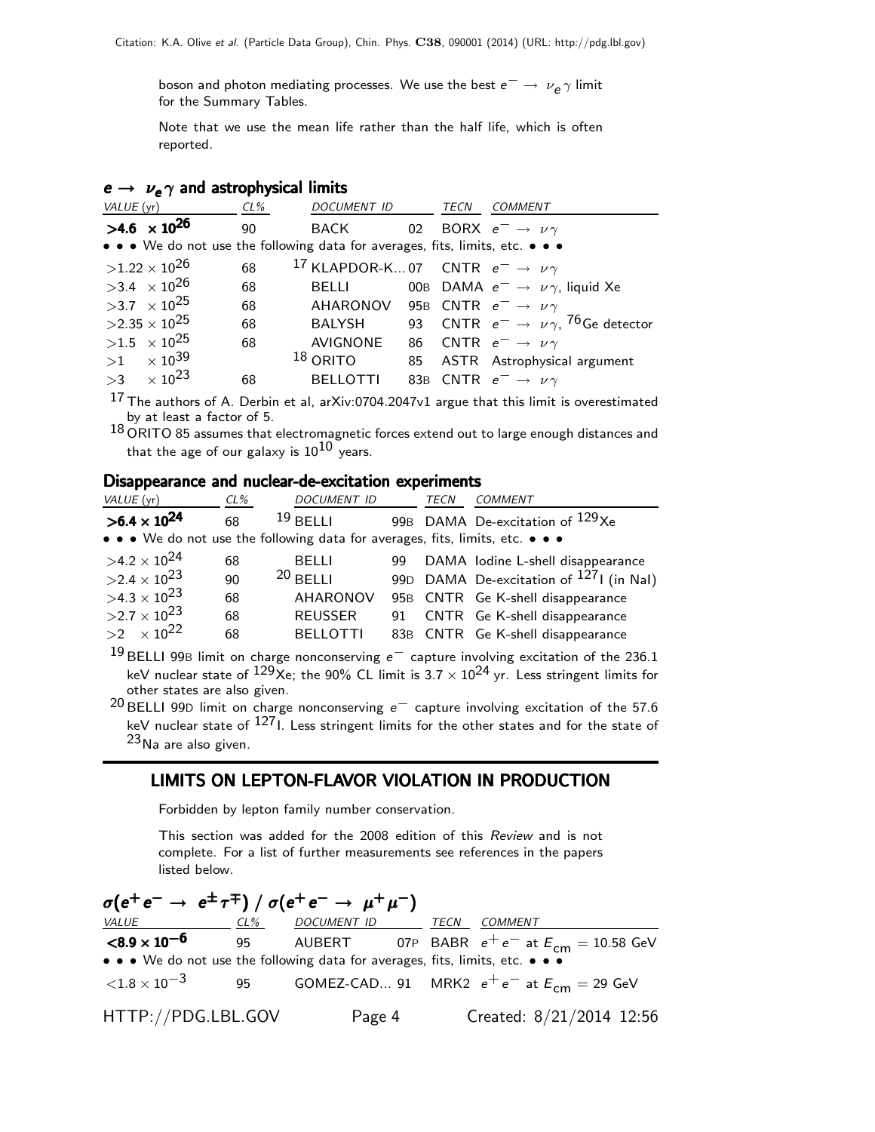boson and photon mediating processes. We use the best  $e^- \rightarrow \nu_e \gamma$  limit for the Summary Tables.

Note that we use the mean life rather than the half life, which is often reported.

#### $e \rightarrow \nu_e \gamma$  and astrophysical limits

| <i>VALUE</i> (yr)              | CL% | <i>DOCUMENT ID</i>                                                            |    | TECN | COMMENT                                                                  |
|--------------------------------|-----|-------------------------------------------------------------------------------|----|------|--------------------------------------------------------------------------|
| $>4.6 \times 10^{26}$          | 90  | BACK                                                                          |    |      | 02 BORX $e^- \rightarrow \nu \gamma$                                     |
|                                |     | • • • We do not use the following data for averages, fits, limits, etc. • • • |    |      |                                                                          |
| $>1.22\times10^{26}$           | 68  | <sup>17</sup> KLAPDOR-K07 CNTR $e^- \rightarrow \nu \gamma$                   |    |      |                                                                          |
| $>3.4 \times 10^{26}$          | 68  | BELLI                                                                         |    |      | 00B DAMA $e^- \rightarrow \nu \gamma$ , liquid Xe                        |
| $>3.7 \times 10^{25}$          | 68  | AHARONOV 95B CNTR $e^- \rightarrow \nu \gamma$                                |    |      |                                                                          |
| $>2.35\times 10^{25}$          | 68  | BALYSH                                                                        |    |      | 93 $\,$ CNTR $\,$ e $^-\rightarrow\,\,\nu\,\gamma,\,{}^{76}$ Ge detector |
| $>1.5 \times 10^{25}$          | 68  | <b>AVIGNONE</b>                                                               | 86 |      | CNTR $e^- \rightarrow \nu \gamma$                                        |
| $>1$ $\times$ 10 <sup>39</sup> |     | $18$ ORITO                                                                    |    |      | 85 ASTR Astrophysical argument                                           |
| $>3$ $\times$ 10 <sup>23</sup> | 68  | <b>BELLOTTI</b>                                                               |    |      | 83B CNTR $e^- \rightarrow \nu \gamma$                                    |
|                                |     |                                                                               |    |      |                                                                          |

 $^{17}$  The authors of A. Derbin et al, arXiv:0704.2047v1 argue that this limit is overestimated by at least a factor of 5.

 $^{18}$  ORITO 85 assumes that electromagnetic forces extend out to large enough distances and that the age of our galaxy is  $10^{10}$  years.

#### Disappearance and nuclear-de-excitation experiments

| VALUE (yr)                                                                    | CL% | <b>DOCUMENT ID</b> | <b>TECN</b> | <b>COMMENT</b>                                      |
|-------------------------------------------------------------------------------|-----|--------------------|-------------|-----------------------------------------------------|
| $>6.4 \times 10^{24}$                                                         | 68  | $19$ BFI I I       |             | 99B DAMA De-excitation of <sup>129</sup> Xe         |
| • • • We do not use the following data for averages, fits, limits, etc. • • • |     |                    |             |                                                     |
| $>4.2\times10^{24}$                                                           | 68  | <b>BELLI</b>       |             | 99 DAMA lodine L-shell disappearance                |
| $>2.4\times10^{23}$                                                           | 90  | $20$ BELLI         |             | 99D DAMA De-excitation of <sup>127</sup> I (in NaI) |
| $>4.3\times10^{23}$                                                           | 68  | AHARONOV           |             | 95B CNTR Ge K-shell disappearance                   |
| $>2.7\times10^{23}$                                                           | 68  | <b>REUSSER</b>     |             | 91 CNTR Ge K-shell disappearance                    |
| $>2 \times 10^{22}$                                                           | 68  | <b>BELLOTTI</b>    |             | 83B CNTR Ge K-shell disappearance                   |
| 10 $\sim$                                                                     |     |                    |             |                                                     |

<sup>19</sup> BELLI 99B limit on charge nonconserving e<sup>−</sup> capture involving excitation of the 236.1 keV nuclear state of  $129x$ e; the 90% CL limit is  $3.7 \times 10^{24}$  yr. Less stringent limits for other states are also given.

 $20$  BELLI 99D limit on charge nonconserving  $e^-$  capture involving excitation of the 57.6 keV nuclear state of  $127$ I. Less stringent limits for the other states and for the state of  $23$ Na are also given.

## LIMITS ON LEPTON-FLAVOR VIOLATION IN PRODUCTION

Forbidden by lepton family number conservation.

This section was added for the 2008 edition of this Review and is not complete. For a list of further measurements see references in the papers listed below.

| $\sigma(e^+e^- \rightarrow e^{\pm}\tau^{\mp})$ / $\sigma(e^+e^- \rightarrow \mu^+\mu^-)$          |  |  |         |                                 |  |
|---------------------------------------------------------------------------------------------------|--|--|---------|---------------------------------|--|
| <u>VALUE CL% DOCUMENT ID TECN</u>                                                                 |  |  | COMMENT |                                 |  |
| <b><math>\leq</math>8.9 x 10<sup>-6</sup></b> 95 AUBERT 07P BABR $e^+e^-$ at $E_{cm} = 10.58$ GeV |  |  |         |                                 |  |
| • • • We do not use the following data for averages, fits, limits, etc. • • •                     |  |  |         |                                 |  |
| $\langle 1.8 \times 10^{-3} \rangle$ 95 GOMEZ-CAD 91 MRK2 $e^+e^-$ at $E_{cm} = 29$ GeV           |  |  |         |                                 |  |
| HTTP://PDG.LBL.GOV                                                                                |  |  |         | Page 4 Created: 8/21/2014 12:56 |  |